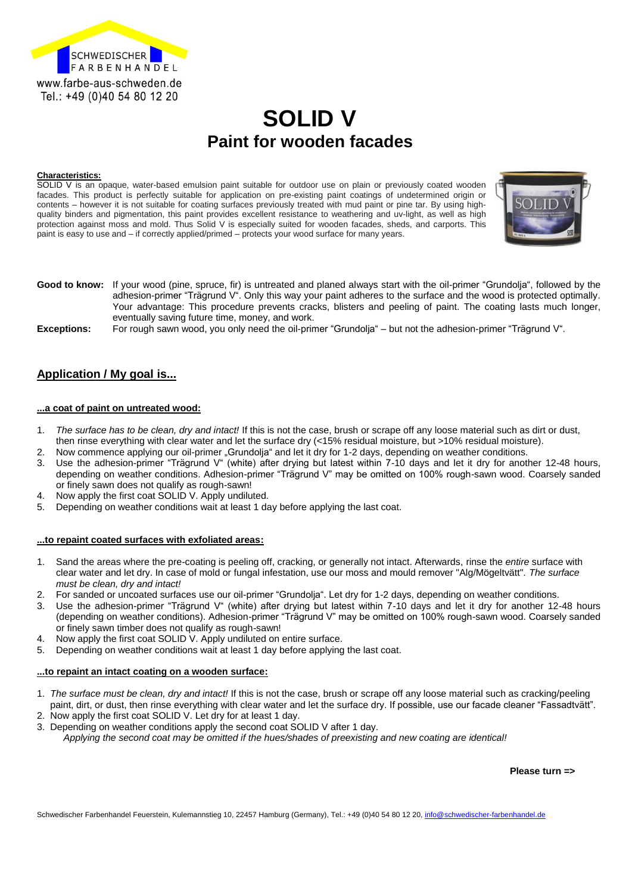

# **SOLID V Paint for wooden facades**

#### **Characteristics:**

SOLID V is an opaque, water-based emulsion paint suitable for outdoor use on plain or previously coated wooden facades. This product is perfectly suitable for application on pre-existing paint coatings of undetermined origin or contents – however it is not suitable for coating surfaces previously treated with mud paint or pine tar. By using highquality binders and pigmentation, this paint provides excellent resistance to weathering and uv-light, as well as high protection against moss and mold. Thus Solid V is especially suited for wooden facades, sheds, and carports. This paint is easy to use and – if correctly applied/primed – protects your wood surface for many years.



- **Good to know:** If your wood (pine, spruce, fir) is untreated and planed always start with the oil-primer "Grundolja", followed by the adhesion-primer "Trägrund V". Only this way your paint adheres to the surface and the wood is protected optimally. Your advantage: This procedure prevents cracks, blisters and peeling of paint. The coating lasts much longer, eventually saving future time, money, and work.
- **Exceptions:** For rough sawn wood, you only need the oil-primer "Grundolja" but not the adhesion-primer "Trägrund V".

### **Application / My goal is...**

#### **...a coat of paint on untreated wood:**

- 1. *The surface has to be clean, dry and intact!* If this is not the case, brush or scrape off any loose material such as dirt or dust, then rinse everything with clear water and let the surface dry (<15% residual moisture, but >10% residual moisture).
- 2. Now commence applying our oil-primer "Grundolja" and let it dry for 1-2 days, depending on weather conditions.
- 3. Use the adhesion-primer "Trägrund V" (white) after drying but latest within 7-10 days and let it dry for another 12-48 hours, depending on weather conditions. Adhesion-primer "Trägrund V" may be omitted on 100% rough-sawn wood. Coarsely sanded or finely sawn does not qualify as rough-sawn!
- 4. Now apply the first coat SOLID V. Apply undiluted.
- 5. Depending on weather conditions wait at least 1 day before applying the last coat.

#### **...to repaint coated surfaces with exfoliated areas:**

- 1. Sand the areas where the pre-coating is peeling off, cracking, or generally not intact. Afterwards, rinse the *entire* surface with clear water and let dry. In case of mold or fungal infestation, use our moss and mould remover "Alg/Mögeltvätt". *The surface must be clean, dry and intact!*
- 2. For sanded or uncoated surfaces use our oil-primer "Grundolja". Let dry for 1-2 days, depending on weather conditions.
- 3. Use the adhesion-primer "Trägrund V" (white) after drying but latest within 7-10 days and let it dry for another 12-48 hours (depending on weather conditions). Adhesion-primer "Trägrund V" may be omitted on 100% rough-sawn wood. Coarsely sanded or finely sawn timber does not qualify as rough-sawn!
- 4. Now apply the first coat SOLID V. Apply undiluted on entire surface.
- 5. Depending on weather conditions wait at least 1 day before applying the last coat.

#### **...to repaint an intact coating on a wooden surface:**

- 1. *The surface must be clean, dry and intact!* If this is not the case, brush or scrape off any loose material such as cracking/peeling paint, dirt, or dust, then rinse everything with clear water and let the surface dry. If possible, use our facade cleaner "Fassadtvätt".
- 2. Now apply the first coat SOLID V. Let dry for at least 1 day.
- 3. Depending on weather conditions apply the second coat SOLID V after 1 day.  *Applying the second coat may be omitted if the hues/shades of preexisting and new coating are identical!*

 **Please turn =>**

Schwedischer Farbenhandel Feuerstein, Kulemannstieg 10, 22457 Hamburg (Germany), Tel.: +49 (0)40 54 80 12 20[, info@schwedischer-farbenhandel.de](info@schwedischer-farbenhandel.de)